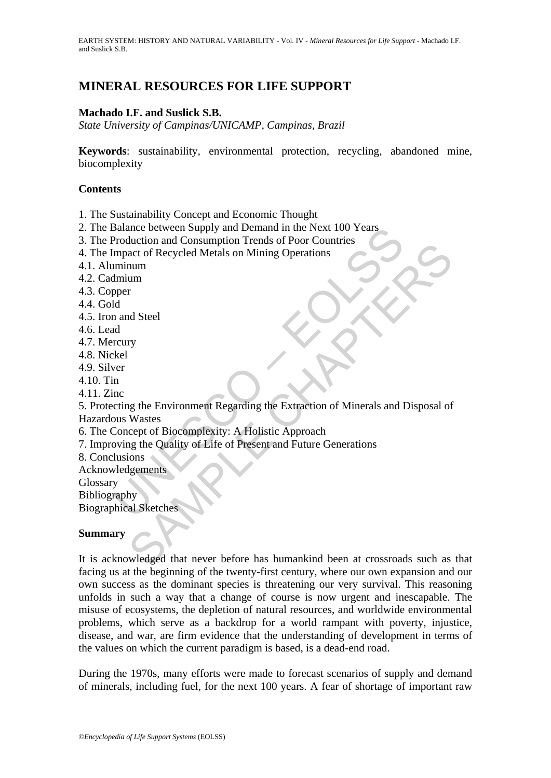# **MINERAL RESOURCES FOR LIFE SUPPORT**

#### **Machado I.F. and Suslick S.B.**

*State University of Campinas/UNICAMP, Campinas, Brazil* 

**Keywords**: sustainability, environmental protection, recycling, abandoned mine, biocomplexity

#### **Contents**

1. The Sustainability Concept and Economic Thought

- 2. The Balance between Supply and Demand in the Next 100 Years
- 3. The Production and Consumption Trends of Poor Countries
- 4. The Impact of Recycled Metals on Mining Operations
- 4.1. Aluminum
- 4.2. Cadmium
- 4.3. Copper
- 4.4. Gold
- 4.5. Iron and Steel
- 4.6. Lead
- 4.7. Mercury
- 4.8. Nickel
- 4.9. Silver
- 4.10. Tin
- 4.11. Zinc

Salance between Supply and Demand in the Next 100 Years<br>
Production and Consumption Trends of Poor Countries<br>
mapact of Recycled Metals on Mining Operations<br>
minium<br>
imium<br>
minium<br>
poper<br>
d<br>
a<br>
rcury<br>
kel<br>
we<br>
cting the En Exercise the Consumption Trents of Tool Countries<br>act of Recycled Metals on Mining Operations<br>num<br>num<br>r<br>of Meckele Chapter Chapter (Separation of Minerals and Disposal of<br>Wastes<br>accept of Biocomplexity: A Holistic Approach 5. Protecting the Environment Regarding the Extraction of Minerals and Disposal of Hazardous Wastes

- 6. The Concept of Biocomplexity: A Holistic Approach
- 7. Improving the Quality of Life of Present and Future Generations
- 8. Conclusions
- Acknowledgements

Glossary

Bibliography

Biographical Sketches

#### **Summary**

It is acknowledged that never before has humankind been at crossroads such as that facing us at the beginning of the twenty-first century, where our own expansion and our own success as the dominant species is threatening our very survival. This reasoning unfolds in such a way that a change of course is now urgent and inescapable. The misuse of ecosystems, the depletion of natural resources, and worldwide environmental problems, which serve as a backdrop for a world rampant with poverty, injustice, disease, and war, are firm evidence that the understanding of development in terms of the values on which the current paradigm is based, is a dead-end road.

During the 1970s, many efforts were made to forecast scenarios of supply and demand of minerals, including fuel, for the next 100 years. A fear of shortage of important raw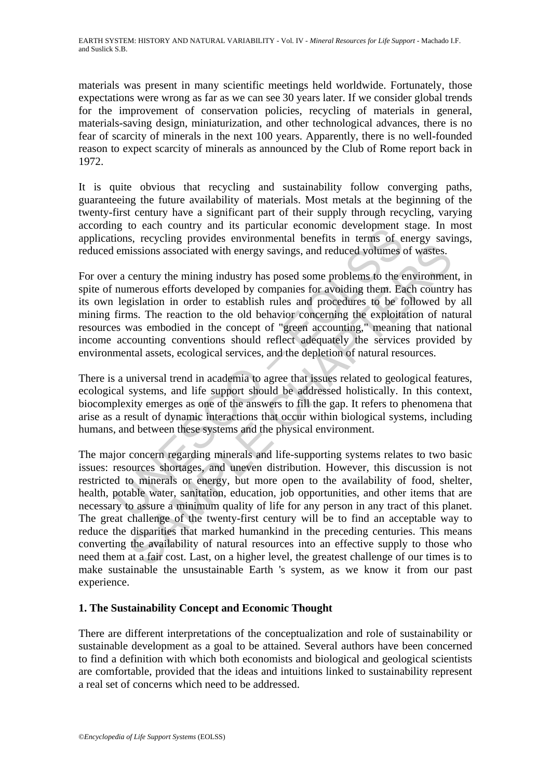materials was present in many scientific meetings held worldwide. Fortunately, those expectations were wrong as far as we can see 30 years later. If we consider global trends for the improvement of conservation policies, recycling of materials in general, materials-saving design, miniaturization, and other technological advances, there is no fear of scarcity of minerals in the next 100 years. Apparently, there is no well-founded reason to expect scarcity of minerals as announced by the Club of Rome report back in 1972.

It is quite obvious that recycling and sustainability follow converging paths, guaranteeing the future availability of materials. Most metals at the beginning of the twenty-first century have a significant part of their supply through recycling, varying according to each country and its particular economic development stage. In most applications, recycling provides environmental benefits in terms of energy savings, reduced emissions associated with energy savings, and reduced volumes of wastes.

ig to each country and is particular economic development<br>and is particular and is particular ecolomic consistency emissions associated with energy savings, and reduced volumes of emissions associated with energy savings, For over a century the mining industry has posed some problems to the environment, in spite of numerous efforts developed by companies for avoiding them. Each country has its own legislation in order to establish rules and procedures to be followed by all mining firms. The reaction to the old behavior concerning the exploitation of natural resources was embodied in the concept of "green accounting," meaning that national income accounting conventions should reflect adequately the services provided by environmental assets, ecological services, and the depletion of natural resources.

There is a universal trend in academia to agree that issues related to geological features, ecological systems, and life support should be addressed holistically. In this context, biocomplexity emerges as one of the answers to fill the gap. It refers to phenomena that arise as a result of dynamic interactions that occur within biological systems, including humans, and between these systems and the physical environment.

sissions associated with energy savings, and reduced voltmes of wates.<br>
sissions associated with energy savings, and reduced voltmes of wates.<br>
century the mining industry has posed some problems to the environment<br>
merous The major concern regarding minerals and life-supporting systems relates to two basic issues: resources shortages, and uneven distribution. However, this discussion is not restricted to minerals or energy, but more open to the availability of food, shelter, health, potable water, sanitation, education, job opportunities, and other items that are necessary to assure a minimum quality of life for any person in any tract of this planet. The great challenge of the twenty-first century will be to find an acceptable way to reduce the disparities that marked humankind in the preceding centuries. This means converting the availability of natural resources into an effective supply to those who need them at a fair cost. Last, on a higher level, the greatest challenge of our times is to make sustainable the unsustainable Earth 's system, as we know it from our past experience.

## **1. The Sustainability Concept and Economic Thought**

There are different interpretations of the conceptualization and role of sustainability or sustainable development as a goal to be attained. Several authors have been concerned to find a definition with which both economists and biological and geological scientists are comfortable, provided that the ideas and intuitions linked to sustainability represent a real set of concerns which need to be addressed.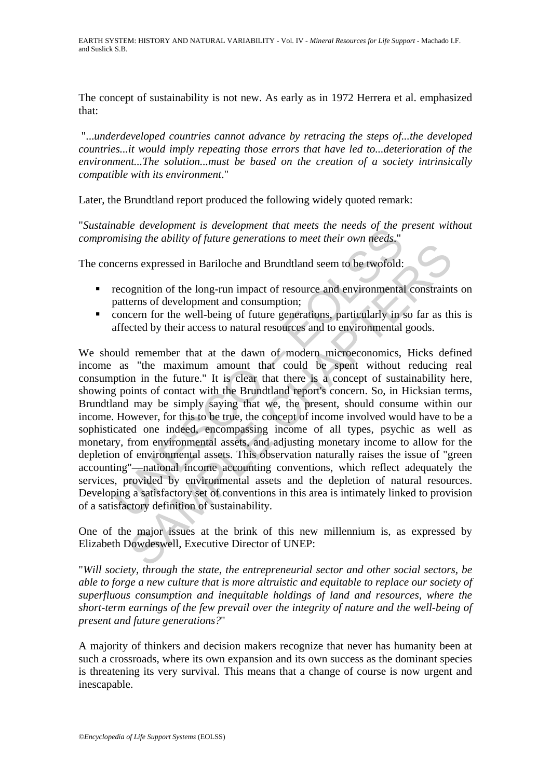The concept of sustainability is not new. As early as in 1972 Herrera et al. emphasized that:

"...*underdeveloped countries cannot advance by retracing the steps of...the developed countries...it would imply repeating those errors that have led to...deterioration of the environment...The solution...must be based on the creation of a society intrinsically compatible with its environment*."

Later, the Brundtland report produced the following widely quoted remark:

"*Sustainable development is development that meets the needs of the present without compromising the ability of future generations to meet their own needs*."

The concerns expressed in Bariloche and Brundtland seem to be twofold:

- **recognition of the long-run impact of resource and environmental constraints on** patterns of development and consumption;
- concern for the well-being of future generations, particularly in so far as this is affected by their access to natural resources and to environmental goods.

However, the about that the state of the description of the state of the state of the state of the description of the long-run impact of resource and environmental<br>accension of the long-run impact of resource and environme In sacrosside in Bariloche and Brundthala seem to be two fold:<br>
Samplition of the long-run impact of resource and environmental constraint<br>
erms of development and consumption;<br>
cerm for the well-being of future generation We should remember that at the dawn of modern microeconomics. Hicks defined income as "the maximum amount that could be spent without reducing real consumption in the future." It is clear that there is a concept of sustainability here, showing points of contact with the Brundtland report's concern. So, in Hicksian terms, Brundtland may be simply saying that we, the present, should consume within our income. However, for this to be true, the concept of income involved would have to be a sophisticated one indeed, encompassing income of all types, psychic as well as monetary, from environmental assets, and adjusting monetary income to allow for the depletion of environmental assets. This observation naturally raises the issue of "green accounting"—national income accounting conventions, which reflect adequately the services, provided by environmental assets and the depletion of natural resources. Developing a satisfactory set of conventions in this area is intimately linked to provision of a satisfactory definition of sustainability.

One of the major issues at the brink of this new millennium is, as expressed by Elizabeth Dowdeswell, Executive Director of UNEP:

"*Will society, through the state, the entrepreneurial sector and other social sectors, be able to forge a new culture that is more altruistic and equitable to replace our society of superfluous consumption and inequitable holdings of land and resources, where the short-term earnings of the few prevail over the integrity of nature and the well-being of present and future generations?*"

A majority of thinkers and decision makers recognize that never has humanity been at such a crossroads, where its own expansion and its own success as the dominant species is threatening its very survival. This means that a change of course is now urgent and inescapable.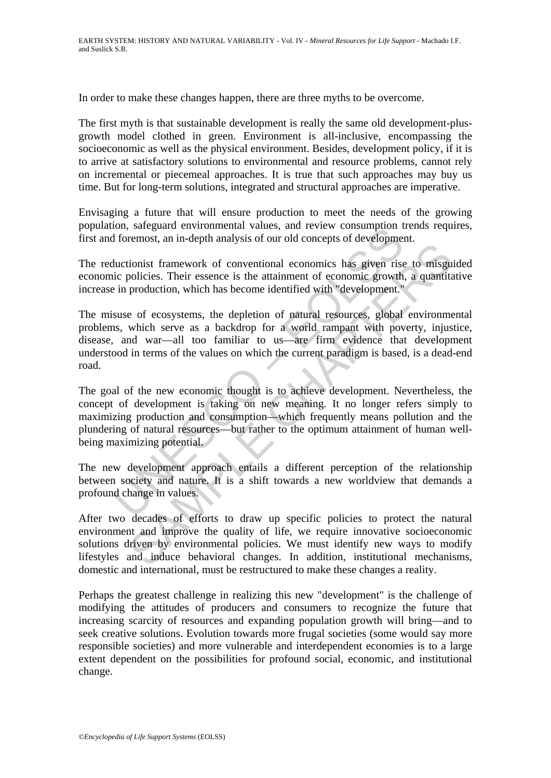In order to make these changes happen, there are three myths to be overcome.

The first myth is that sustainable development is really the same old development-plusgrowth model clothed in green. Environment is all-inclusive, encompassing the socioeconomic as well as the physical environment. Besides, development policy, if it is to arrive at satisfactory solutions to environmental and resource problems, cannot rely on incremental or piecemeal approaches. It is true that such approaches may buy us time. But for long-term solutions, integrated and structural approaches are imperative.

Envisaging a future that will ensure production to meet the needs of the growing population, safeguard environmental values, and review consumption trends requires, first and foremost, an in-depth analysis of our old concepts of development.

The reductionist framework of conventional economics has given rise to misguided economic policies. Their essence is the attainment of economic growth, a quantitative increase in production, which has become identified with "development."

of the meaning of a different to denote the source of a society and a society of a society of a society of a society of evelopment and intervent in production which has become identified with "development."<br>Suse of ecosyst Example the set of conventional economics has given rise to misgupolicies. Their essence is the attainment of economic growth, a quantitic production, which has become identified with "development." e of ecosystems, the d The misuse of ecosystems, the depletion of natural resources, global environmental problems, which serve as a backdrop for a world rampant with poverty, injustice, disease, and war—all too familiar to us—are firm evidence that development understood in terms of the values on which the current paradigm is based, is a dead-end road.

The goal of the new economic thought is to achieve development. Nevertheless, the concept of development is taking on new meaning. It no longer refers simply to maximizing production and consumption—which frequently means pollution and the plundering of natural resources—but rather to the optimum attainment of human wellbeing maximizing potential.

The new development approach entails a different perception of the relationship between society and nature. It is a shift towards a new worldview that demands a profound change in values.

After two decades of efforts to draw up specific policies to protect the natural environment and improve the quality of life, we require innovative socioeconomic solutions driven by environmental policies. We must identify new ways to modify lifestyles and induce behavioral changes. In addition, institutional mechanisms, domestic and international, must be restructured to make these changes a reality.

Perhaps the greatest challenge in realizing this new "development" is the challenge of modifying the attitudes of producers and consumers to recognize the future that increasing scarcity of resources and expanding population growth will bring—and to seek creative solutions. Evolution towards more frugal societies (some would say more responsible societies) and more vulnerable and interdependent economies is to a large extent dependent on the possibilities for profound social, economic, and institutional change.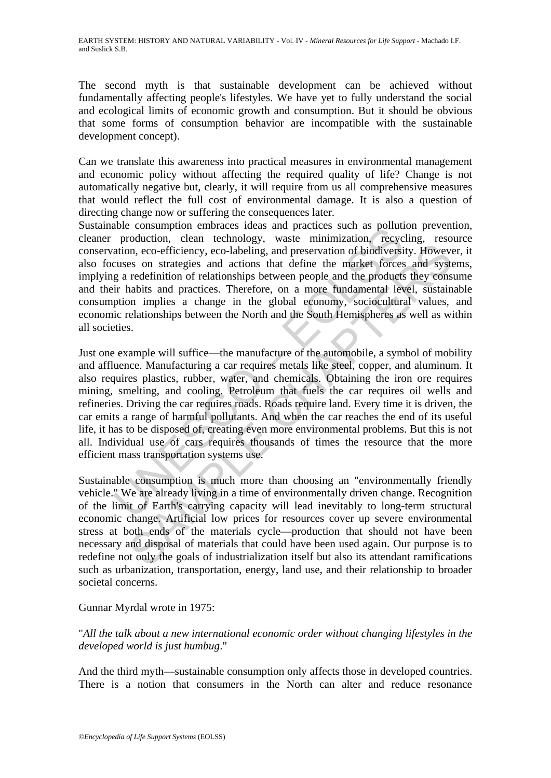The second myth is that sustainable development can be achieved without fundamentally affecting people's lifestyles. We have yet to fully understand the social and ecological limits of economic growth and consumption. But it should be obvious that some forms of consumption behavior are incompatible with the sustainable development concept).

Can we translate this awareness into practical measures in environmental management and economic policy without affecting the required quality of life? Change is not automatically negative but, clearly, it will require from us all comprehensive measures that would reflect the full cost of environmental damage. It is also a question of directing change now or suffering the consequences later.

Sustainable consumption embraces ideas and practices such as pollution prevention, cleaner production, clean technology, waste minimization, recycling, resource conservation, eco-efficiency, eco-labeling, and preservation of biodiversity. However, it also focuses on strategies and actions that define the market forces and systems, implying a redefinition of relationships between people and the products they consume and their habits and practices. Therefore, on a more fundamental level, sustainable consumption implies a change in the global economy, sociocultural values, and economic relationships between the North and the South Hemispheres as well as within all societies.

absurption entinates to team and plactices such as pointing<br>production, clean technology, waste minimization, recyc<br>ation, eco-efficiency, eco-labeling, and preservation of biodiversi<br>cuses on strategies and actions that d no, eco-efficiency, eco-labeling, and preservation of biodiversity. Howeves on strategies and actions that define the market forces and systems redefinition of relationships between people and the products they constantine Just one example will suffice—the manufacture of the automobile, a symbol of mobility and affluence. Manufacturing a car requires metals like steel, copper, and aluminum. It also requires plastics, rubber, water, and chemicals. Obtaining the iron ore requires mining, smelting, and cooling. Petroleum that fuels the car requires oil wells and refineries. Driving the car requires roads. Roads require land. Every time it is driven, the car emits a range of harmful pollutants. And when the car reaches the end of its useful life, it has to be disposed of, creating even more environmental problems. But this is not all. Individual use of cars requires thousands of times the resource that the more efficient mass transportation systems use.

Sustainable consumption is much more than choosing an "environmentally friendly vehicle." We are already living in a time of environmentally driven change. Recognition of the limit of Earth's carrying capacity will lead inevitably to long-term structural economic change. Artificial low prices for resources cover up severe environmental stress at both ends of the materials cycle—production that should not have been necessary and disposal of materials that could have been used again. Our purpose is to redefine not only the goals of industrialization itself but also its attendant ramifications such as urbanization, transportation, energy, land use, and their relationship to broader societal concerns.

## Gunnar Myrdal wrote in 1975:

"*All the talk about a new international economic order without changing lifestyles in the developed world is just humbug*."

And the third myth—sustainable consumption only affects those in developed countries. There is a notion that consumers in the North can alter and reduce resonance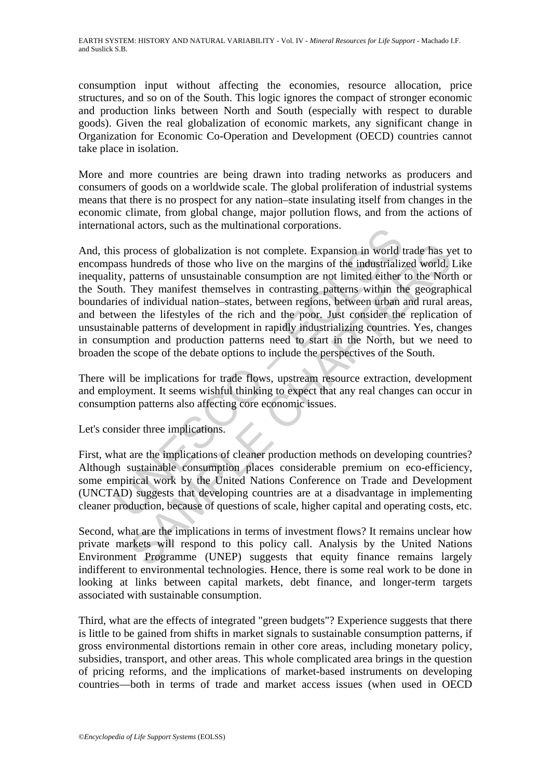consumption input without affecting the economies, resource allocation, price structures, and so on of the South. This logic ignores the compact of stronger economic and production links between North and South (especially with respect to durable goods). Given the real globalization of economic markets, any significant change in Organization for Economic Co-Operation and Development (OECD) countries cannot take place in isolation.

More and more countries are being drawn into trading networks as producers and consumers of goods on a worldwide scale. The global proliferation of industrial systems means that there is no prospect for any nation–state insulating itself from changes in the economic climate, from global change, major pollution flows, and from the actions of international actors, such as the multinational corporations.

follow and the multimational corporations.<br>
is process of globalization is not complete. Expansion in world the ass hundreds of those who live on the margins of the industrializity, patterns of unsustainable consumption ar by hundreds of globalization is not complete. Expansion in world trade has y<br>hundreds of those who live on the margins of the industrialized world.<br>Jatterns of unsustainable consumption are not limited either to the Nort<br>T And, this process of globalization is not complete. Expansion in world trade has yet to encompass hundreds of those who live on the margins of the industrialized world. Like inequality, patterns of unsustainable consumption are not limited either to the North or the South. They manifest themselves in contrasting patterns within the geographical boundaries of individual nation–states, between regions, between urban and rural areas, and between the lifestyles of the rich and the poor. Just consider the replication of unsustainable patterns of development in rapidly industrializing countries. Yes, changes in consumption and production patterns need to start in the North, but we need to broaden the scope of the debate options to include the perspectives of the South.

There will be implications for trade flows, upstream resource extraction, development and employment. It seems wishful thinking to expect that any real changes can occur in consumption patterns also affecting core economic issues.

Let's consider three implications.

First, what are the implications of cleaner production methods on developing countries? Although sustainable consumption places considerable premium on eco-efficiency, some empirical work by the United Nations Conference on Trade and Development (UNCTAD) suggests that developing countries are at a disadvantage in implementing cleaner production, because of questions of scale, higher capital and operating costs, etc.

Second, what are the implications in terms of investment flows? It remains unclear how private markets will respond to this policy call. Analysis by the United Nations Environment Programme (UNEP) suggests that equity finance remains largely indifferent to environmental technologies. Hence, there is some real work to be done in looking at links between capital markets, debt finance, and longer-term targets associated with sustainable consumption.

Third, what are the effects of integrated "green budgets"? Experience suggests that there is little to be gained from shifts in market signals to sustainable consumption patterns, if gross environmental distortions remain in other core areas, including monetary policy, subsidies, transport, and other areas. This whole complicated area brings in the question of pricing reforms, and the implications of market-based instruments on developing countries—both in terms of trade and market access issues (when used in OECD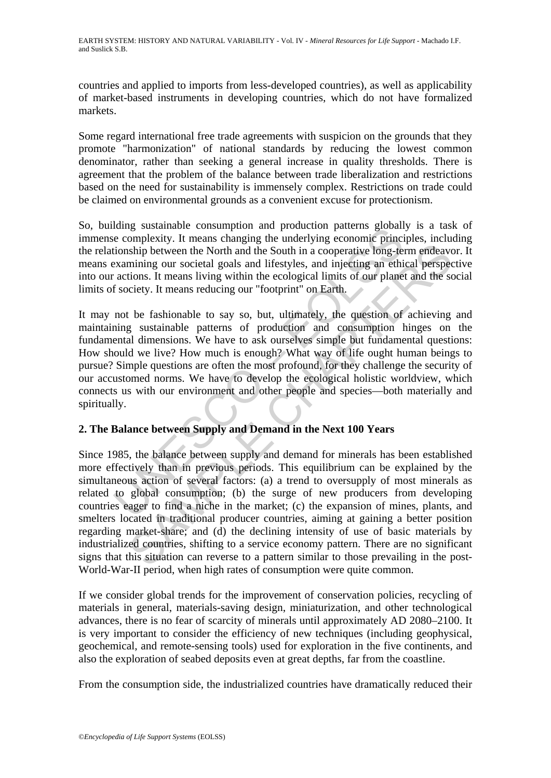countries and applied to imports from less-developed countries), as well as applicability of market-based instruments in developing countries, which do not have formalized markets.

Some regard international free trade agreements with suspicion on the grounds that they promote "harmonization" of national standards by reducing the lowest common denominator, rather than seeking a general increase in quality thresholds. There is agreement that the problem of the balance between trade liberalization and restrictions based on the need for sustainability is immensely complex. Restrictions on trade could be claimed on environmental grounds as a convenient excuse for protectionism.

So, building sustainable consumption and production patterns globally is a task of immense complexity. It means changing the underlying economic principles, including the relationship between the North and the South in a cooperative long-term endeavor. It means examining our societal goals and lifestyles, and injecting an ethical perspective into our actions. It means living within the ecological limits of our planet and the social limits of society. It means reducing our "footprint" on Earth.

induce to complexity. It means change in undeptodent particle in section particles in<br>the complexity. It means changing the underlying economic princitionship between the North and the South in a cooperative long-teix<br>axam It may not be fashionable to say so, but, ultimately, the question of achieving and maintaining sustainable patterns of production and consumption hinges on the fundamental dimensions. We have to ask ourselves simple but fundamental questions: How should we live? How much is enough? What way of life ought human beings to pursue? Simple questions are often the most profound, for they challenge the security of our accustomed norms. We have to develop the ecological holistic worldview, which connects us with our environment and other people and species—both materially and spiritually.

## **2. The Balance between Supply and Demand in the Next 100 Years**

Ship between the North and the South in a cooperative long-term endeaver<br>ship between the North and the South in a cooperative long-term endeaver<br>mining our societal goals and lifestyles, and injecting an ethical perspecti Since 1985, the balance between supply and demand for minerals has been established more effectively than in previous periods. This equilibrium can be explained by the simultaneous action of several factors: (a) a trend to oversupply of most minerals as related to global consumption; (b) the surge of new producers from developing countries eager to find a niche in the market; (c) the expansion of mines, plants, and smelters located in traditional producer countries, aiming at gaining a better position regarding market-share; and (d) the declining intensity of use of basic materials by industrialized countries, shifting to a service economy pattern. There are no significant signs that this situation can reverse to a pattern similar to those prevailing in the post-World-War-II period, when high rates of consumption were quite common.

If we consider global trends for the improvement of conservation policies, recycling of materials in general, materials-saving design, miniaturization, and other technological advances, there is no fear of scarcity of minerals until approximately AD 2080–2100. It is very important to consider the efficiency of new techniques (including geophysical, geochemical, and remote-sensing tools) used for exploration in the five continents, and also the exploration of seabed deposits even at great depths, far from the coastline.

From the consumption side, the industrialized countries have dramatically reduced their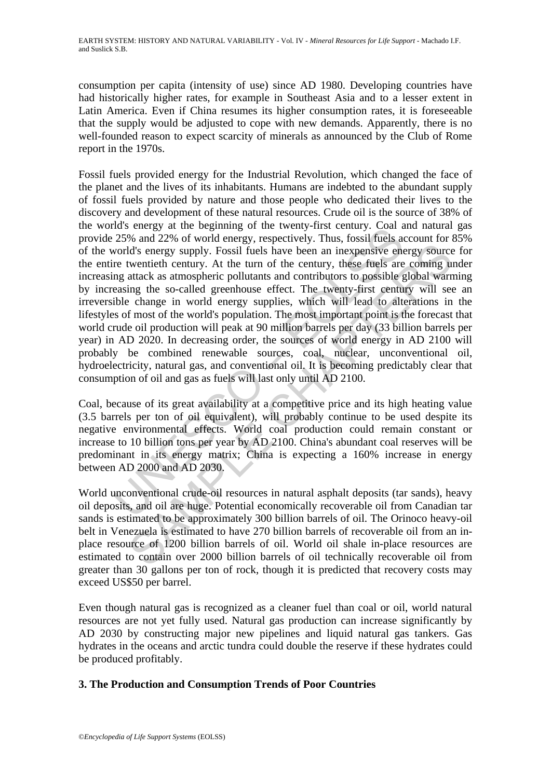consumption per capita (intensity of use) since AD 1980. Developing countries have had historically higher rates, for example in Southeast Asia and to a lesser extent in Latin America. Even if China resumes its higher consumption rates, it is foreseeable that the supply would be adjusted to cope with new demands. Apparently, there is no well-founded reason to expect scarcity of minerals as announced by the Club of Rome report in the 1970s.

as einergy at the tegniming of the twenty-first century. Can a<br>25% and 22% of world energy, respectively. Thus, fossil fuels at<br>cordd's energy supply. Fossil fuels have been an inexpensive energy terms of the century. At Ids energy supply. Fossil fuels have been an inexpensive energy source<br>twentieth century. At the turn of the century, these fuels are coming u<br>tutentick as atmospheric pollutants and contributors to possible global war<br>in Fossil fuels provided energy for the Industrial Revolution, which changed the face of the planet and the lives of its inhabitants. Humans are indebted to the abundant supply of fossil fuels provided by nature and those people who dedicated their lives to the discovery and development of these natural resources. Crude oil is the source of 38% of the world's energy at the beginning of the twenty-first century. Coal and natural gas provide 25% and 22% of world energy, respectively. Thus, fossil fuels account for 85% of the world's energy supply. Fossil fuels have been an inexpensive energy source for the entire twentieth century. At the turn of the century, these fuels are coming under increasing attack as atmospheric pollutants and contributors to possible global warming by increasing the so-called greenhouse effect. The twenty-first century will see an irreversible change in world energy supplies, which will lead to alterations in the lifestyles of most of the world's population. The most important point is the forecast that world crude oil production will peak at 90 million barrels per day (33 billion barrels per year) in AD 2020. In decreasing order, the sources of world energy in AD 2100 will probably be combined renewable sources, coal, nuclear, unconventional oil, hydroelectricity, natural gas, and conventional oil. It is becoming predictably clear that consumption of oil and gas as fuels will last only until AD 2100.

Coal, because of its great availability at a competitive price and its high heating value (3.5 barrels per ton of oil equivalent), will probably continue to be used despite its negative environmental effects. World coal production could remain constant or increase to 10 billion tons per year by AD 2100. China's abundant coal reserves will be predominant in its energy matrix; China is expecting a 160% increase in energy between AD 2000 and AD 2030.

World unconventional crude-oil resources in natural asphalt deposits (tar sands), heavy oil deposits, and oil are huge. Potential economically recoverable oil from Canadian tar sands is estimated to be approximately 300 billion barrels of oil. The Orinoco heavy-oil belt in Venezuela is estimated to have 270 billion barrels of recoverable oil from an inplace resource of 1200 billion barrels of oil. World oil shale in-place resources are estimated to contain over 2000 billion barrels of oil technically recoverable oil from greater than 30 gallons per ton of rock, though it is predicted that recovery costs may exceed US\$50 per barrel.

Even though natural gas is recognized as a cleaner fuel than coal or oil, world natural resources are not yet fully used. Natural gas production can increase significantly by AD 2030 by constructing major new pipelines and liquid natural gas tankers. Gas hydrates in the oceans and arctic tundra could double the reserve if these hydrates could be produced profitably.

## **3. The Production and Consumption Trends of Poor Countries**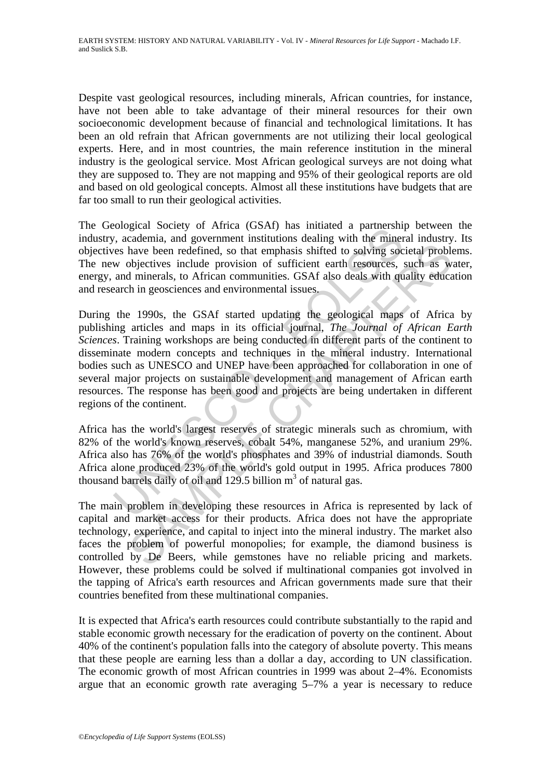Despite vast geological resources, including minerals, African countries, for instance, have not been able to take advantage of their mineral resources for their own socioeconomic development because of financial and technological limitations. It has been an old refrain that African governments are not utilizing their local geological experts. Here, and in most countries, the main reference institution in the mineral industry is the geological service. Most African geological surveys are not doing what they are supposed to. They are not mapping and 95% of their geological reports are old and based on old geological concepts. Almost all these institutions have budgets that are far too small to run their geological activities.

The Geological Society of Africa (GSAf) has initiated a partnership between the industry, academia, and government institutions dealing with the mineral industry. Its objectives have been redefined, so that emphasis shifted to solving societal problems. The new objectives include provision of sufficient earth resources, such as water, energy, and minerals, to African communities. GSAf also deals with quality education and research in geosciences and environmental issues.

solution.<br>
Solution and government institutions dealing with the minerality<br>
or, academia, and government institutions dealing with the miner<br>
es have been redefined, so that emphasis shifted to solving soc<br>
w objectives have been redefined, so that emphasis shifted to solving societal proble<br>bigettives include provision of sufficient earth resources, such as we<br>d minerals, to African communities. GSAf also deals with quality educa<br>h in g During the 1990s, the GSAf started updating the geological maps of Africa by publishing articles and maps in its official journal, *The Journal of African Earth Sciences*. Training workshops are being conducted in different parts of the continent to disseminate modern concepts and techniques in the mineral industry. International bodies such as UNESCO and UNEP have been approached for collaboration in one of several major projects on sustainable development and management of African earth resources. The response has been good and projects are being undertaken in different regions of the continent.

Africa has the world's largest reserves of strategic minerals such as chromium, with 82% of the world's known reserves, cobalt 54%, manganese 52%, and uranium 29%. Africa also has 76% of the world's phosphates and 39% of industrial diamonds. South Africa alone produced 23% of the world's gold output in 1995. Africa produces 7800 thousand barrels daily of oil and  $129.5$  billion  $m<sup>3</sup>$  of natural gas.

The main problem in developing these resources in Africa is represented by lack of capital and market access for their products. Africa does not have the appropriate technology, experience, and capital to inject into the mineral industry. The market also faces the problem of powerful monopolies; for example, the diamond business is controlled by De Beers, while gemstones have no reliable pricing and markets. However, these problems could be solved if multinational companies got involved in the tapping of Africa's earth resources and African governments made sure that their countries benefited from these multinational companies.

It is expected that Africa's earth resources could contribute substantially to the rapid and stable economic growth necessary for the eradication of poverty on the continent. About 40% of the continent's population falls into the category of absolute poverty. This means that these people are earning less than a dollar a day, according to UN classification. The economic growth of most African countries in 1999 was about 2–4%. Economists argue that an economic growth rate averaging 5–7% a year is necessary to reduce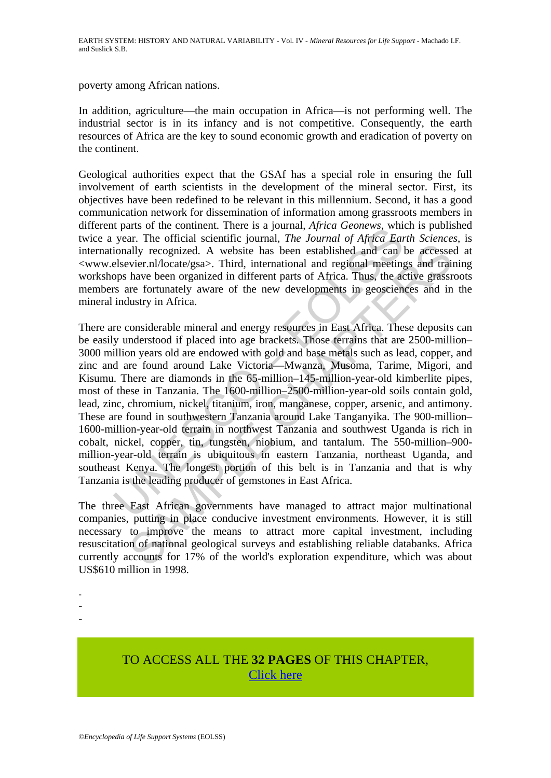poverty among African nations.

In addition, agriculture—the main occupation in Africa—is not performing well. The industrial sector is in its infancy and is not competitive. Consequently, the earth resources of Africa are the key to sound economic growth and eradication of poverty on the continent.

Geological authorities expect that the GSAf has a special role in ensuring the full involvement of earth scientists in the development of the mineral sector. First, its objectives have been redefined to be relevant in this millennium. Second, it has a good communication network for dissemination of information among grassroots members in different parts of the continent. There is a journal, *Africa Geonews*, which is published twice a year. The official scientific journal, *The Journal of Africa Earth Sciences*, is internationally recognized. A website has been established and can be accessed at <www.elsevier.nl/locate/gsa>. Third, international and regional meetings and training workshops have been organized in different parts of Africa. Thus, the active grassroots members are fortunately aware of the new developments in geosciences and in the mineral industry in Africa.

para. The official scientine is a putula, *Aptua Geolessia*, where the parallot per year. The official scientific journal, *The Journal of Africa Ear* ionally recognized. A website has been established and can lelsevier.n ally recognized. A website has been established and can be accesse<br>vier.nl/locate/gsa>. Third, international and regional meetings and train<br>thave been organized in different parts of Africa. Thus, the active grassr<br>have b There are considerable mineral and energy resources in East Africa. These deposits can be easily understood if placed into age brackets. Those terrains that are 2500-million– 3000 million years old are endowed with gold and base metals such as lead, copper, and zinc and are found around Lake Victoria—Mwanza, Musoma, Tarime, Migori, and Kisumu. There are diamonds in the 65-million–145-million-year-old kimberlite pipes, most of these in Tanzania. The 1600-million–2500-million-year-old soils contain gold, lead, zinc, chromium, nickel, titanium, iron, manganese, copper, arsenic, and antimony. These are found in southwestern Tanzania around Lake Tanganyika. The 900-million– 1600-million-year-old terrain in northwest Tanzania and southwest Uganda is rich in cobalt, nickel, copper, tin, tungsten, niobium, and tantalum. The 550-million–900 million-year-old terrain is ubiquitous in eastern Tanzania, northeast Uganda, and southeast Kenya. The longest portion of this belt is in Tanzania and that is why Tanzania is the leading producer of gemstones in East Africa.

The three East African governments have managed to attract major multinational companies, putting in place conducive investment environments. However, it is still necessary to improve the means to attract more capital investment, including resuscitation of national geological surveys and establishing reliable databanks. Africa currently accounts for 17% of the world's exploration expenditure, which was about US\$610 million in 1998.

-

-

-

# TO ACCESS ALL THE **32 PAGES** OF THIS CHAPTER, [Click here](https://www.eolss.net/ebooklib/sc_cart.aspx?File=E1-01-08-06)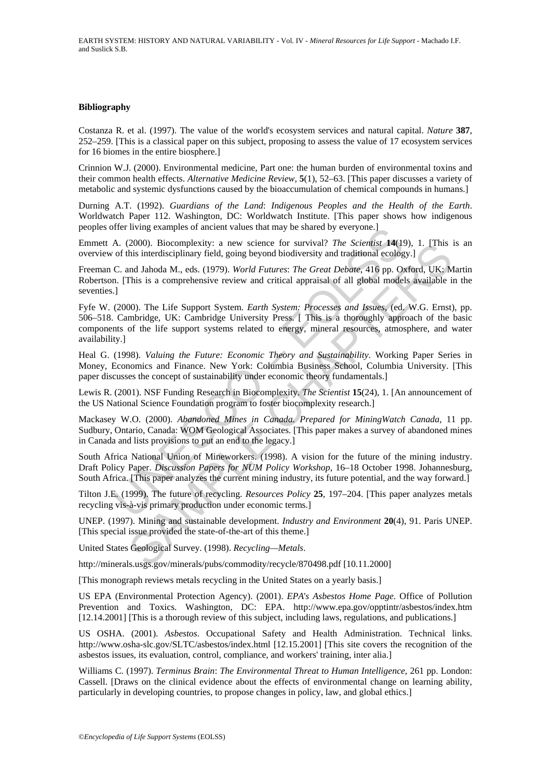#### **Bibliography**

Costanza R. et al. (1997). The value of the world's ecosystem services and natural capital. *Nature* **387**, 252–259. [This is a classical paper on this subject, proposing to assess the value of 17 ecosystem services for 16 biomes in the entire biosphere.]

Crinnion W.J. (2000). Environmental medicine, Part one: the human burden of environmental toxins and their common health effects. *Alternative Medicine Review*, **5**(1), 52–63. [This paper discusses a variety of metabolic and systemic dysfunctions caused by the bioaccumulation of chemical compounds in humans.]

Durning A.T. (1992). *Guardians of the Land*: *Indigenous Peoples and the Health of the Earth*. Worldwatch Paper 112. Washington, DC: Worldwatch Institute. [This paper shows how indigenous peoples offer living examples of ancient values that may be shared by everyone.]

Emmett A. (2000). Biocomplexity: a new science for survival? *The Scientist* **14**(19), 1. [This is an overview of this interdisciplinary field, going beyond biodiversity and traditional ecology.]

Freeman C. and Jahoda M., eds. (1979). *World Futures*: *The Great Debate*, 416 pp. Oxford, UK: Martin Robertson. [This is a comprehensive review and critical appraisal of all global models available in the seventies.]

The Tiving examples or ancient values that may be snared by everyone.]<br>A. (2000). Biocomplexity: a new science for survival? The *Scientist* 14(19<br>of this interdsciplinary field, going beyond biodiversity and traditional e 2000). Biocomplexity: a new science for survival? *The Societiest* 14(19), 1. [1ms]<br>this interdisciplinary field, going beyond biodiversity and traditional ecology.]<br>and Jahoda M., eds. (1979). World Futures: The Great Deb Fyfe W. (2000). The Life Support System. *Earth System: Processes and Issues*, (ed. W.G. Ernst), pp. 506–518. Cambridge, UK: Cambridge University Press. [ This is a thoroughly approach of the basic components of the life support systems related to energy, mineral resources, atmosphere, and water availability.]

Heal G. (1998). *Valuing the Future: Economic Theory and Sustainability*. Working Paper Series in Money, Economics and Finance. New York: Columbia Business School, Columbia University. [This paper discusses the concept of sustainability under economic theory fundamentals.]

Lewis R. (2001). NSF Funding Research in Biocomplexity. *The Scientist* **15**(24), 1. [An announcement of the US National Science Foundation program to foster biocomplexity research.]

Mackasey W.O. (2000). *Abandoned Mines in Canada. Prepared for MiningWatch Canada*, 11 pp. Sudbury, Ontario, Canada: WOM Geological Associates. [This paper makes a survey of abandoned mines in Canada and lists provisions to put an end to the legacy.]

South Africa National Union of Mineworkers. (1998). A vision for the future of the mining industry. Draft Policy Paper. *Discussion Papers for NUM Policy Workshop*, 16–18 October 1998. Johannesburg, South Africa. [This paper analyzes the current mining industry, its future potential, and the way forward.]

Tilton J.E. (1999). The future of recycling. *Resources Policy* **25**, 197–204. [This paper analyzes metals recycling vis-à-vis primary production under economic terms.]

UNEP. (1997). Mining and sustainable development. *Industry and Environment* **20**(4), 91. Paris UNEP. [This special issue provided the state-of-the-art of this theme.]

United States Geological Survey. (1998). *Recycling—Metals*.

http://minerals.usgs.gov/minerals/pubs/commodity/recycle/870498.pdf [10.11.2000]

[This monograph reviews metals recycling in the United States on a yearly basis.]

US EPA (Environmental Protection Agency). (2001). *EPA*'*s Asbestos Home Page.* Office of Pollution Prevention and Toxics. Washington, DC: EPA. http://www.epa.gov/opptintr/asbestos/index.htm [12.14.2001] [This is a thorough review of this subject, including laws, regulations, and publications.]

US OSHA. (2001). *Asbestos*. Occupational Safety and Health Administration. Technical links. http://www.osha-slc.gov/SLTC/asbestos/index.html [12.15.2001] [This site covers the recognition of the asbestos issues, its evaluation, control, compliance, and workers' training, inter alia.]

Williams C. (1997). *Terminus Brain*: *The Environmental Threat to Human Intelligence*, 261 pp. London: Cassell. [Draws on the clinical evidence about the effects of environmental change on learning ability, particularly in developing countries, to propose changes in policy, law, and global ethics.]